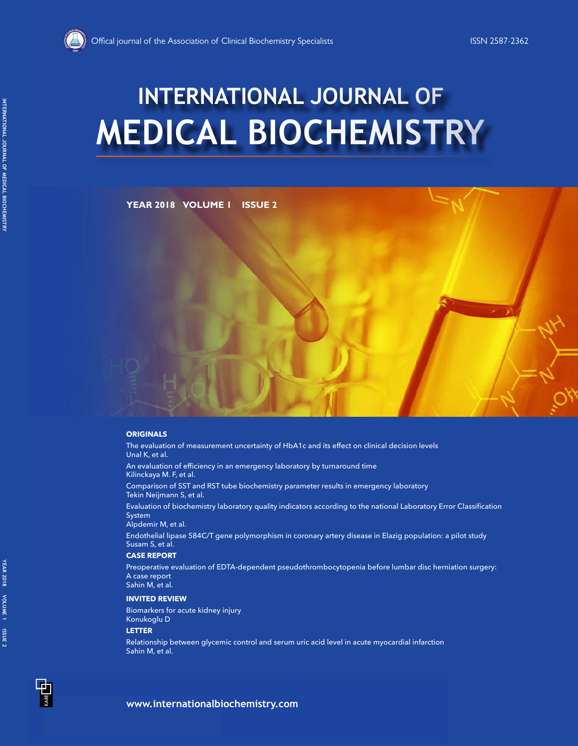

# **MEDICAL BIOCHEMISTRY INTERNATIONAL JOURNAL OF**

# **YEAR 2018 VOLUME 1 ISSUE 2**

### **ORIGINALS**

The evaluation of measurement uncertainty of HbA1c and its effect on clinical decision levels Unal K, et al.

An evaluation of efficiency in an emergency laboratory by turnaround time Kilinckaya M. F, et al.

Comparison of SST and RST tube biochemistry parameter results in emergency laboratory Tekin Neijmann S, et al.

Evaluation of biochemistry laboratory quality indicators according to the national Laboratory Error Classification System

Alpdemir M, et al.

Endothelial lipase 584C/T gene polymorphism in coronary artery disease in Elazig population: a pilot study Susam S, et al.

#### **CASE REPORT**

Preoperative evaluation of EDTA-dependent pseudothrombocytopenia before lumbar disc herniation surgery: A case report Sahin M, et al.

#### **INVITED REVIEW**

Biomarkers for acute kidney injury Konukoglu D

#### **LETTER**

Relationship between glycemic control and serum uric acid level in acute myocardial infarction Sahin M, et al.

**YEAR 2018 VOLUME 1 ISSUE 2**

ISSUE<sub>2</sub>

YEAR 2018 VOLUME 1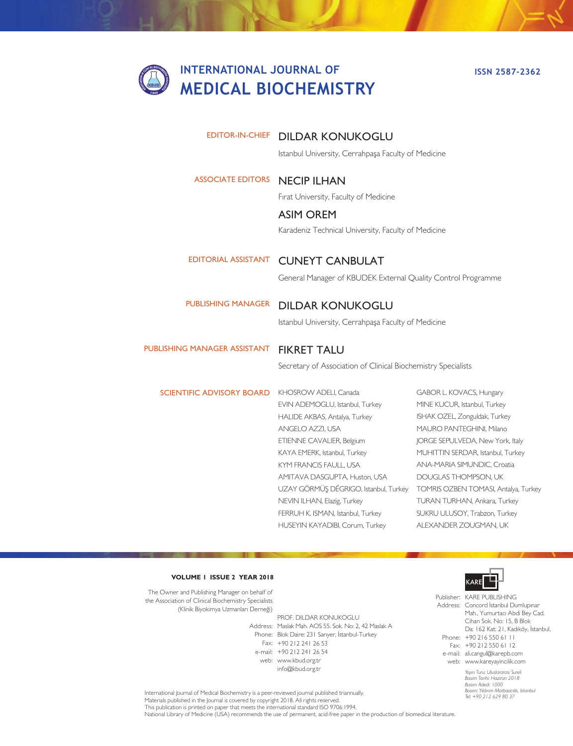# **INTERNATIONAL JOURNAL OF MEDICAL BIOCHEMISTRY**

**ISSN 2587-2362**

## EDITOR-IN-CHIEF DILDAR KONUKOGLU

Istanbul University, Cerrahpaşa Faculty of Medicine

# ASSOCIATE EDITORS **NECIP ILHAN**

Fırat University, Faculty of Medicine

#### ASIM OREM

Karadeniz Technical University, Faculty of Medicine

# EDITORIAL ASSISTANT CUNEYT CANBULAT

General Manager of KBUDEK External Quality Control Programme

# PUBLISHING MANAGER DILDAR KONUKOGLU

Istanbul University, Cerrahpaşa Faculty of Medicine

# PUBLISHING MANAGER ASSISTANT FIKRET TALU

Secretary of Association of Clinical Biochemistry Specialists

SCIENTIFIC ADVISORY BOARD

KHOSROW ADELI, Canada EVIN ADEMOGLU, Istanbul, Turkey HALIDE AKBAS, Antalya, Turkey ANGELO AZZI, USA ETIENNE CAVALIER, Belgium KAYA EMERK, Istanbul, Turkey KYM FRANCIS FAULL, USA AMITAVA DASGUPTA, Huston, USA UZAY GÖRMÜŞ DÉGRIGO, Istanbul, Turkey TOMRIS OZBEN TOMASI, Antalya, Turkey NEVIN ILHAN, Elazig, Turkey FERRUH K. ISMAN, Istanbul, Turkey HUSEYIN KAYADIBI, Corum, Turkey

GABOR L. KOVACS, Hungary MINE KUCUR, Istanbul, Turkey ISHAK OZEL, Zonguldak, Turkey MAURO PANTEGHINI, Milano JORGE SEPULVEDA, New York, Italy MUHITTIN SERDAR, Istanbul, Turkey ANA-MARIA SIMUNDIC, Croatia DOUGLAS THOMPSON, UK TURAN TURHAN, Ankara, Turkey SUKRU ULUSOY, Trabzon, Turkey ALEXANDER ZOUGMAN, UK

#### **VOLUME 1 ISSUE 2 YEAR 2018**

The Owner and Publishing Manager on behalf of the Association of Clinical Biochemistry Specialists (Klinik Biyokimya Uzmanları Derneği)

Address: Maslak Mah. AOS 55. Sok. No: 2, 42 Maslak A Phone: Blok Daire: 231 Sarıyer, İstanbul-Turkey Fax: +90 212 241 26 53 e-mail: +90 212 241 26 54 web: www.kbud.org.tr PROF. DILDAR KONUKOGLU info@kbud.org.tr



*Yayın Turu: Uluslararası Sureli*  Publisher: KARE PUBLISHING Address: Concord İstanbul Dumlupınar Phone: +90 216 550 61 11 Fax: +90 212 550 61 12 e-mail: ali.cangul@karepb.com web: www.kareyayincilik.com Mah., Yumurtacı Abdi Bey Cad. Cihan Sok. No: 15, B Blok Da: 162 Kat: 21, Kadıköy, İstanbul,

*Basım Tarihi: Haziran 2018 Basım Adedi: 1000 Basım: Yıldırım Matbaacılık, Istanbul Tel: +90 212 629 80 37*

International Journal of Medical Biochemistry is a peer-reviewed journal published triannually. Materials published in the Journal is covered by copyright 2018. All rights reserved. This publication is printed on paper that meets the international standard ISO 9706:1994. National Library of Medicine (USA) recommends the use of permanent, acid-free paper in the production of biomedical literature.